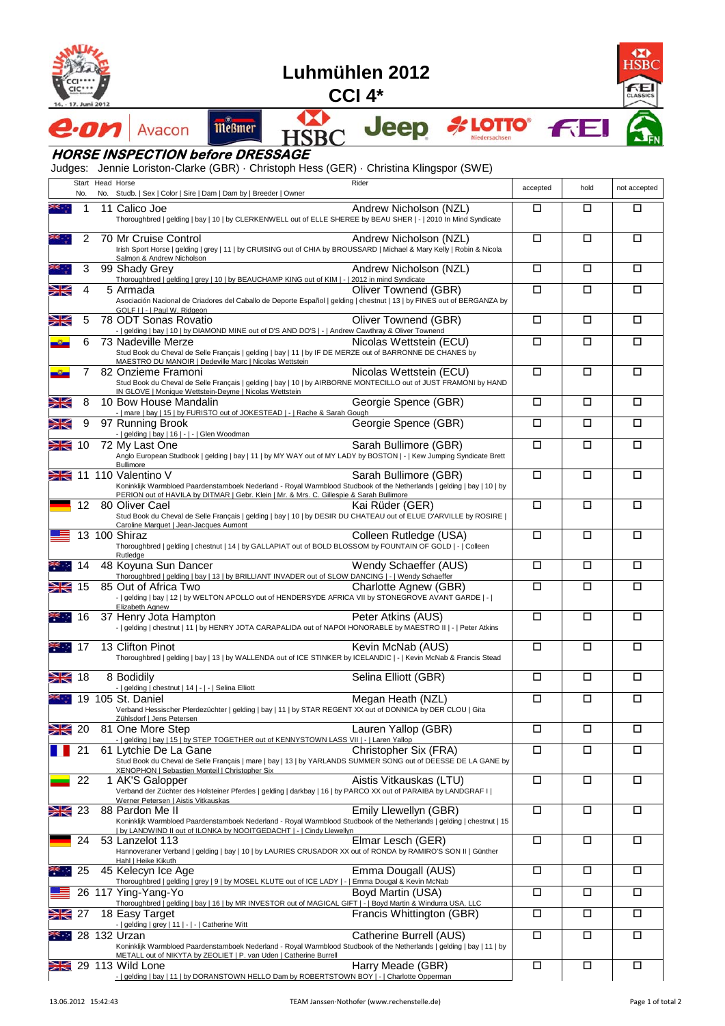

7

## **Luhmühlen 2012**

**CCI 4\***

M

**HSBC** 



Œ  $\overline{\textbf{4SB}}$ FЕ

## **HORSE INSPECTION before DRESSAGE**

Avacon

Judges: Jennie Loriston-Clarke (GBR) · Christoph Hess (GER) · Christina Klingspor (SWE)

**Meßmer** 

|                            | No. | Start Head Horse | Rider<br>No. Studb.   Sex   Color   Sire   Dam   Dam by   Breeder   Owner                                                                                                                                                                                         | accepted | hold   | not accepted |
|----------------------------|-----|------------------|-------------------------------------------------------------------------------------------------------------------------------------------------------------------------------------------------------------------------------------------------------------------|----------|--------|--------------|
|                            | 1   |                  | 11 Calico Joe<br>Andrew Nicholson (NZL)<br>Thoroughbred   gelding   bay   10   by CLERKENWELL out of ELLE SHEREE by BEAU SHER   -   2010 In Mind Syndicate                                                                                                        | □        | □      | □            |
|                            | 2   |                  | 70 Mr Cruise Control<br>Andrew Nicholson (NZL)<br>Irish Sport Horse   gelding   grey   11   by CRUISING out of CHIA by BROUSSARD   Michael & Mary Kelly   Robin & Nicola<br>Salmon & Andrew Nicholson                                                             | $\Box$   | □      | □            |
|                            | 3   |                  | Andrew Nicholson (NZL)<br>99 Shady Grey<br>Thoroughbred   gelding   grey   10   by BEAUCHAMP KING out of KIM   -   2012 in mind Syndicate                                                                                                                         | □        | □      | □            |
| Ж                          | 4   |                  | Oliver Townend (GBR)<br>5 Armada<br>Asociación Nacional de Criadores del Caballo de Deporte Español   gelding   chestnut   13   by FINES out of BERGANZA by<br>GOLF I   -   Paul W. Ridgeon                                                                       | □        | □      | □            |
| Ж                          | 5   |                  | 78 ODT Sonas Rovatio<br>Oliver Townend (GBR)<br>-   gelding   bay   10   by DIAMOND MINE out of D'S AND DO'S   -   Andrew Cawthray & Oliver Townend                                                                                                               | □        | □      | □            |
|                            | 6   |                  | Nicolas Wettstein (ECU)<br>73 Nadeville Merze<br>Stud Book du Cheval de Selle Français   gelding   bay   11   by IF DE MERZE out of BARRONNE DE CHANES by<br>MAESTRO DU MANOIR   Dedeville Marc   Nicolas Wettstein                                               | □        | О      | □            |
|                            |     |                  | 82 Onzieme Framoni<br>Nicolas Wettstein (ECU)<br>Stud Book du Cheval de Selle Français   gelding   bay   10   by AIRBORNE MONTECILLO out of JUST FRAMONI by HAND<br>IN GLOVE   Monique Wettstein-Deyme   Nicolas Wettstein                                        | $\Box$   | □      | □            |
| Ж                          | 8   |                  | Georgie Spence (GBR)<br>10 Bow House Mandalin<br>-   mare   bay   15   by FURISTO out of JOKESTEAD   -   Rache & Sarah Gough                                                                                                                                      | □        | □      | □            |
| Ж                          | 9   |                  | Georgie Spence (GBR)<br>97 Running Brook<br>-   gelding   bay   16   -   -   Glen Woodman                                                                                                                                                                         | □        | □      | □            |
| Ж                          | 10  |                  | 72 My Last One<br>Sarah Bullimore (GBR)<br>Anglo European Studbook   gelding   bay   11   by MY WAY out of MY LADY by BOSTON   -   Kew Jumping Syndicate Brett<br>Bullimore                                                                                       | □        | □      | □            |
| Ж                          |     |                  | 11 110 Valentino V<br>Sarah Bullimore (GBR)<br>Koninklijk Warmbloed Paardenstamboek Nederland - Royal Warmblood Studbook of the Netherlands   gelding   bay   10   by<br>PERION out of HAVILA by DITMAR   Gebr. Klein   Mr. & Mrs. C. Gillespie & Sarah Bullimore | □        | □      | □            |
|                            | 12  |                  | 80 Oliver Cael<br>Kai Rüder (GER)<br>Stud Book du Cheval de Selle Français   gelding   bay   10   by DESIR DU CHATEAU out of ELUE D'ARVILLE by ROSIRE  <br>Caroline Marquet   Jean-Jacques Aumont                                                                 | □        | □      | □            |
|                            |     |                  | 13 100 Shiraz<br>Colleen Rutledge (USA)<br>Thoroughbred   gelding   chestnut   14   by GALLAPIAT out of BOLD BLOSSOM by FOUNTAIN OF GOLD   -   Colleen<br>Rutledge                                                                                                | □        | □      | □            |
|                            | 14  |                  | 48 Koyuna Sun Dancer<br>Wendy Schaeffer (AUS)<br>Thoroughbred   gelding   bay   13   by BRILLIANT INVADER out of SLOW DANCING   -   Wendy Schaeffer                                                                                                               | □        | □      | П            |
| Ж                          | 15  |                  | 85 Out of Africa Two<br>Charlotte Agnew (GBR)<br>-   gelding   bay   12   by WELTON APOLLO out of HENDERSYDE AFRICA VII by STONEGROVE AVANT GARDE   -  <br>Elizabeth Agnew                                                                                        | $\Box$   | □      | □            |
|                            | 16  |                  | 37 Henry Jota Hampton<br>Peter Atkins (AUS)<br>-   gelding   chestnut   11   by HENRY JOTA CARAPALIDA out of NAPOI HONORABLE by MAESTRO II   -   Peter Atkins                                                                                                     | □        | □      | □            |
|                            | -17 |                  | 13 Clifton Pinot<br>Kevin McNab (AUS)<br>Thoroughbred   gelding   bay   13   by WALLENDA out of ICE STINKER by ICELANDIC   -   Kevin McNab & Francis Stead                                                                                                        | □        | □      | □            |
| Ж                          | 18  |                  | Selina Elliott (GBR)<br>8 Bodidily<br>-   gelding   chestnut   14   -   -   Selina Elliott                                                                                                                                                                        | $\Box$   | □      | □            |
|                            |     |                  | Megan Heath (NZL)<br>19 105 St. Daniel<br>Verband Hessischer Pferdezüchter   gelding   bay   11   by STAR REGENT XX out of DONNICA by DER CLOU   Gita<br>Zühlsdorf   Jens Petersen                                                                                | $\Box$   | □      | □            |
| $\geq$                     |     |                  | 20 81 One More Step<br>Lauren Yallop (GBR)<br>-   gelding   bay   15   by STEP TOGETHER out of KENNYSTOWN LASS VII   -   Laren Yallop                                                                                                                             | Ξ        | $\Box$ | ப            |
|                            | 21  |                  | Christopher Six (FRA)<br>61 Lytchie De La Gane<br>Stud Book du Cheval de Selle Français   mare   bay   13   by YARLANDS SUMMER SONG out of DEESSE DE LA GANE by<br>XENOPHON   Sebastien Monteil   Christopher Six                                                 | □        | □      | □            |
|                            | 22  |                  | 1 AK'S Galopper<br>Aistis Vitkauskas (LTU)<br>Verband der Züchter des Holsteiner Pferdes   gelding   darkbay   16   by PARCO XX out of PARAIBA by LANDGRAF I  <br>Werner Petersen   Aistis Vitkauskas                                                             | $\Box$   | $\Box$ | $\Box$       |
| Ж                          | 23  |                  | 88 Pardon Me II<br>Emily Llewellyn (GBR)<br>Koninklijk Warmbloed Paardenstamboek Nederland - Royal Warmblood Studbook of the Netherlands   gelding   chestnut   15<br>  by LANDWIND II out of ILONKA by NOOITGEDACHT   -   Cindy Llewellyn                        | $\Box$   | $\Box$ | П            |
|                            | 24  |                  | 53 Lanzelot 113<br>Elmar Lesch (GER)<br>Hannoveraner Verband   gelding   bay   10   by LAURIES CRUSADOR XX out of RONDA by RAMIRO'S SON II   Günther<br>Hahl   Heike Kikuth                                                                                       | $\Box$   | □      | П            |
|                            | 25  |                  | Emma Dougall (AUS)<br>45 Kelecyn Ice Age<br>Thoroughbred   gelding   grey   9   by MOSEL KLUTE out of ICE LADY   -   Emma Dougal & Kevin McNab                                                                                                                    | □        | □      | □            |
|                            |     |                  | 26 117 Ying-Yang-Yo<br>Boyd Martin (USA)<br>Thoroughbred   gelding   bay   16   by MR INVESTOR out of MAGICAL GIFT   -   Boyd Martin & Windurra USA, LLC                                                                                                          | П        | $\Box$ | $\Box$       |
| Ж                          | 27  |                  | Francis Whittington (GBR)<br>18 Easy Target<br>-   gelding   grey   11   -   -   Catherine Witt                                                                                                                                                                   | $\Box$   | П      | $\Box$       |
| $\mathcal{L}(\mathcal{L})$ |     |                  | Catherine Burrell (AUS)<br>28 132 Urzan<br>Koninklijk Warmbloed Paardenstamboek Nederland - Royal Warmblood Studbook of the Netherlands   gelding   bay   11   by<br>METALL out of NIKYTA by ZEOLIET   P. van Uden   Catherine Burrell                            | $\Box$   | $\Box$ | П            |
| Ж                          |     |                  | 29 113 Wild Lone<br>Harry Meade (GBR)<br>-   gelding   bay   11   by DORANSTOWN HELLO Dam by ROBERTSTOWN BOY   -   Charlotte Opperman                                                                                                                             | П        | П      | $\Box$       |